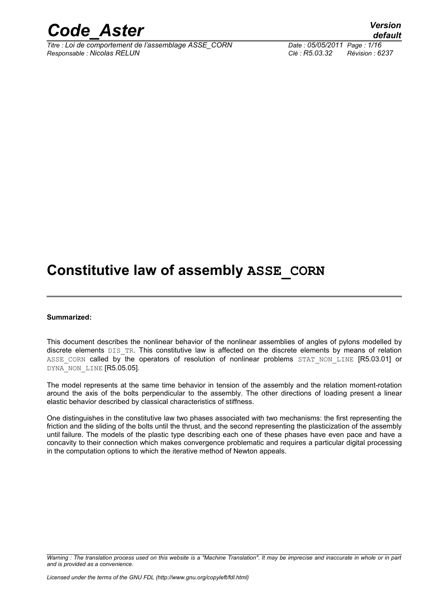

*Titre : Loi de comportement de l'assemblage ASSE\_CORN Date : 05/05/2011 Page : 1/16 Responsable : Nicolas RELUN Clé : R5.03.32 Révision : 6237*

### **Constitutive law of assembly ASSE\_CORN**

#### **Summarized:**

This document describes the nonlinear behavior of the nonlinear assemblies of angles of pylons modelled by discrete elements DIS\_TR. This constitutive law is affected on the discrete elements by means of relation ASSE CORN called by the operators of resolution of nonlinear problems STAT NON LINE [R5.03.01] or DYNA NON LINE [R5.05.05].

The model represents at the same time behavior in tension of the assembly and the relation moment-rotation around the axis of the bolts perpendicular to the assembly. The other directions of loading present a linear elastic behavior described by classical characteristics of stiffness.

One distinguishes in the constitutive law two phases associated with two mechanisms: the first representing the friction and the sliding of the bolts until the thrust, and the second representing the plasticization of the assembly until failure. The models of the plastic type describing each one of these phases have even pace and have a concavity to their connection which makes convergence problematic and requires a particular digital processing in the computation options to which the iterative method of Newton appeals.

*Warning : The translation process used on this website is a "Machine Translation". It may be imprecise and inaccurate in whole or in part and is provided as a convenience.*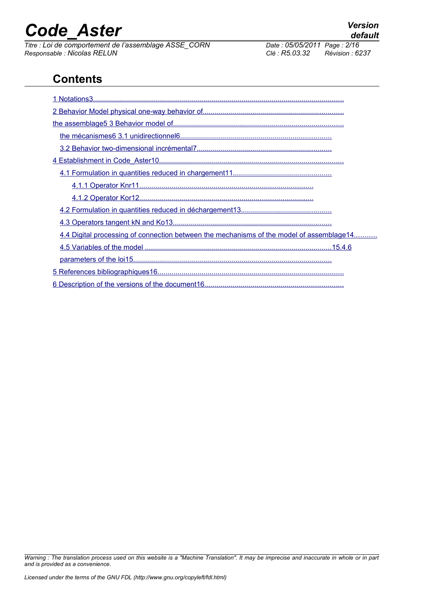*Titre : Loi de comportement de l'assemblage ASSE\_CORN Date : 05/05/2011 Page : 2/16 Responsable : Nicolas RELUN Clé : R5.03.32 Révision : 6237*

### **Contents**

| 4.4 Digital processing of connection between the mechanisms of the model of assemblage14 |
|------------------------------------------------------------------------------------------|
|                                                                                          |
|                                                                                          |
|                                                                                          |
|                                                                                          |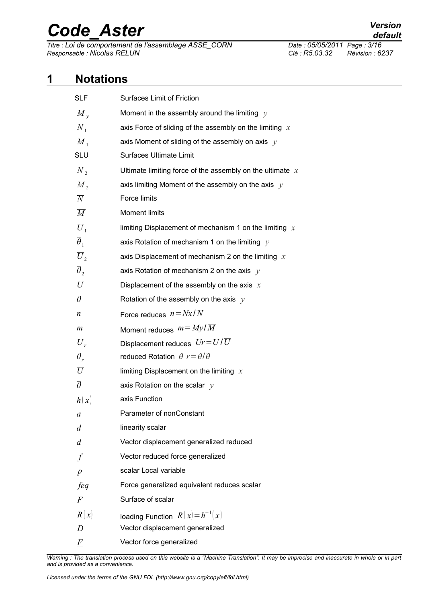*Titre : Loi de comportement de l'assemblage ASSE\_CORN Date : 05/05/2011 Page : 3/16 Responsable : Nicolas RELUN Clé : R5.03.32 Révision : 6237*

### **1 Notations**

<span id="page-2-0"></span>

| <b>SLF</b>            | Surfaces Limit of Friction                                  |
|-----------------------|-------------------------------------------------------------|
| $M_{v}$               | Moment in the assembly around the limiting $y$              |
| $\overline{N}_1$      | axis Force of sliding of the assembly on the limiting $x$   |
| $\overline{M}_1$      | axis Moment of sliding of the assembly on axis $y$          |
| <b>SLU</b>            | Surfaces Ultimate Limit                                     |
| $\overline{N}_{2}$    | Ultimate limiting force of the assembly on the ultimate $x$ |
| $\overline{M}_2$      | axis limiting Moment of the assembly on the axis $y$        |
| $\overline{N}$        | Force limits                                                |
| $\overline{M}$        | <b>Moment limits</b>                                        |
| $\overline{U}_1$      | limiting Displacement of mechanism 1 on the limiting $x$    |
| $\overline{\theta}_1$ | axis Rotation of mechanism 1 on the limiting $y$            |
| $\overline{U}_2$      | axis Displacement of mechanism 2 on the limiting $x$        |
| $\overline{\theta}_2$ | axis Rotation of mechanism 2 on the axis $y$                |
| U                     | Displacement of the assembly on the axis $x$                |
| $\theta$              | Rotation of the assembly on the axis $y$                    |
| n                     | Force reduces $n = Nx/\overline{N}$                         |
| $\boldsymbol{m}$      | Moment reduces $m = My/\overline{M}$                        |
| $U_{r}$               | Displacement reduces $Ur = U/\overline{U}$                  |
| $\theta_r$            | reduced Rotation $\theta r = \theta/\overline{\theta}$      |
| $\overline{U}$        | limiting Displacement on the limiting $x$                   |
| $\overline{\theta}$   | axis Rotation on the scalar $y$                             |
| h(x)                  | axis Function                                               |
| a                     | Parameter of nonConstant                                    |
| $\overline{d}$        | linearity scalar                                            |
| $\underline{d}$       | Vector displacement generalized reduced                     |
| £                     | Vector reduced force generalized                            |
| $\overline{p}$        | scalar Local variable                                       |
| feq                   | Force generalized equivalent reduces scalar                 |
| $\,F$                 | Surface of scalar                                           |
| R(x)                  | loading Function $R(x) = h^{-1}(x)$                         |
| D                     | Vector displacement generalized                             |
| F                     | Vector force generalized                                    |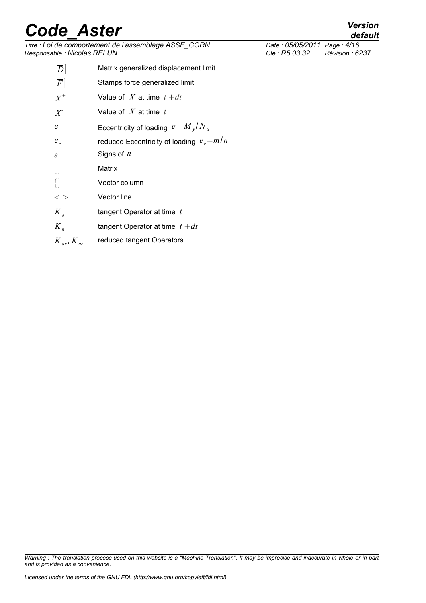| Titre : Loi de comportement de l'assemblage ASSE_CORN<br>Responsable : Nicolas RELUN |                                             | Date: 05/05/2011 Page: 4/16<br>Clé : R5.03.32 | Révision : 6237 |
|--------------------------------------------------------------------------------------|---------------------------------------------|-----------------------------------------------|-----------------|
| $ \overline{D} $                                                                     | Matrix generalized displacement limit       |                                               |                 |
| F                                                                                    | Stamps force generalized limit              |                                               |                 |
| $X^+$                                                                                | Value of X at time $t + dt$                 |                                               |                 |
| $X^{\mathsf{I}}$                                                                     | Value of $X$ at time $t$                    |                                               |                 |
| $\epsilon$                                                                           | Eccentricity of loading $e = M_y/N_x$       |                                               |                 |
| $e_r$                                                                                | reduced Eccentricity of loading $e_r = m/n$ |                                               |                 |
| $\boldsymbol{\varepsilon}$                                                           | Signs of $n$                                |                                               |                 |
|                                                                                      | Matrix                                      |                                               |                 |
| $\{\}$                                                                               | Vector column                               |                                               |                 |
| $<$ $>$                                                                              | Vector line                                 |                                               |                 |
| $K_{\rho}$                                                                           | tangent Operator at time $t$                |                                               |                 |
| $K_n$                                                                                | tangent Operator at time $t + dt$           |                                               |                 |
| $K_{or}$ , $K_{nr}$                                                                  | reduced tangent Operators                   |                                               |                 |

*default*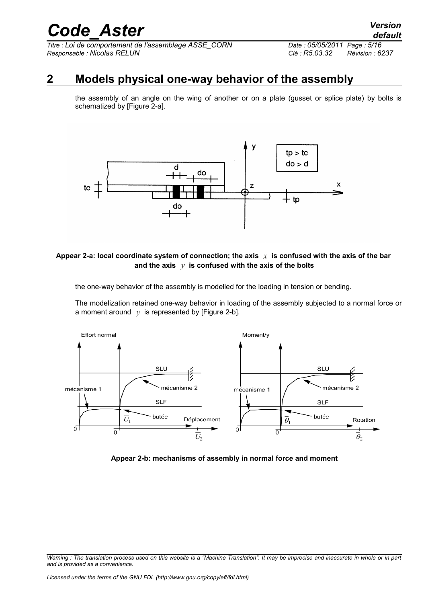### **2 Models physical one-way behavior of the assembly**

<span id="page-4-0"></span>the assembly of an angle on the wing of another or on a plate (gusset or splice plate) by bolts is schematized by [Figure 2-a].



#### Appear 2-a: local coordinate system of connection; the axis  $\chi$  is confused with the axis of the bar **and the axis** *y* **is confused with the axis of the bolts**

the one-way behavior of the assembly is modelled for the loading in tension or bending.

The modelization retained one-way behavior in loading of the assembly subjected to a normal force or a moment around  $y$  is represented by [Figure 2-b].



**Appear 2-b: mechanisms of assembly in normal force and moment**

*Warning : The translation process used on this website is a "Machine Translation". It may be imprecise and inaccurate in whole or in part and is provided as a convenience.*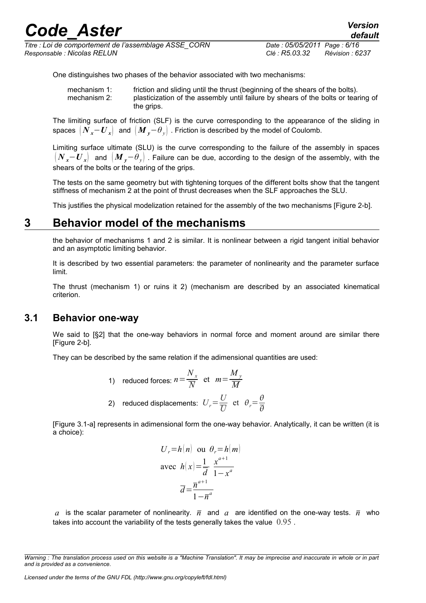| <b>Code Aster</b>                                                                    |                                               | <b>Version</b><br>default |
|--------------------------------------------------------------------------------------|-----------------------------------------------|---------------------------|
| Titre : Loi de comportement de l'assemblage ASSE CORN<br>Responsable : Nicolas RELUN | Date: 05/05/2011 Page: 6/16<br>Clé : R5.03.32 | Révision : 6237           |

One distinguishes two phases of the behavior associated with two mechanisms:

| mechanism 1: | friction and sliding until the thrust (beginning of the shears of the bolts).     |
|--------------|-----------------------------------------------------------------------------------|
| mechanism 2: | plasticization of the assembly until failure by shears of the bolts or tearing of |
|              | the grips.                                                                        |

The limiting surface of friction (SLF) is the curve corresponding to the appearance of the sliding in spaces  $(N_x-U_x)$  and  $(M_y-\theta_y)$ . Friction is described by the model of Coulomb.

Limiting surface ultimate (SLU) is the curve corresponding to the failure of the assembly in spaces  $\left(N_{\rm x}-U_{\rm x}\right)$  and  $\left(M_{\rm y}-\theta_{\rm y}\right)$ . Failure can be due, according to the design of the assembly, with the shears of the bolts or the tearing of the grips.

The tests on the same geometry but with tightening torques of the different bolts show that the tangent stiffness of mechanism 2 at the point of thrust decreases when the SLF approaches the SLU.

<span id="page-5-1"></span>This justifies the physical modelization retained for the assembly of the two mechanisms [Figure 2-b].

#### **3 Behavior model of the mechanisms**

the behavior of mechanisms 1 and 2 is similar. It is nonlinear between a rigid tangent initial behavior and an asymptotic limiting behavior.

It is described by two essential parameters: the parameter of nonlinearity and the parameter surface limit.

The thrust (mechanism 1) or ruins it 2) (mechanism are described by an associated kinematical criterion.

#### **3.1 Behavior one-way**

<span id="page-5-0"></span>We said to [§2] that the one-way behaviors in normal force and moment around are similar there [Figure 2-b].

They can be described by the same relation if the adimensional quantities are used:

1) reduced forces: 
$$
n = \frac{N_x}{\overline{N}}
$$
 et  $m = \frac{M_y}{\overline{M}}$ 

2) reduced displacements: 
$$
U_r = \frac{U}{U}
$$
 et  $\theta_r = \frac{\theta}{\overline{\theta}}$ 

[Figure 3.1-a] represents in adimensional form the one-way behavior. Analytically, it can be written (it is a choice):

$$
U_r = h(n) \text{ ou } \theta_r = h(m)
$$
  
avec  $h(x) = \frac{1}{\overline{d}} \frac{x^{a+1}}{1 - x^a}$   

$$
\overline{d} = \frac{\overline{n}^{a+1}}{1 - \overline{n}^a}
$$

*a* is the scalar parameter of nonlinearity.  $\overline{n}$  and *a* are identified on the one-way tests.  $\overline{n}$  who takes into account the variability of the tests generally takes the value  $0.95$ .

*Warning : The translation process used on this website is a "Machine Translation". It may be imprecise and inaccurate in whole or in part and is provided as a convenience.*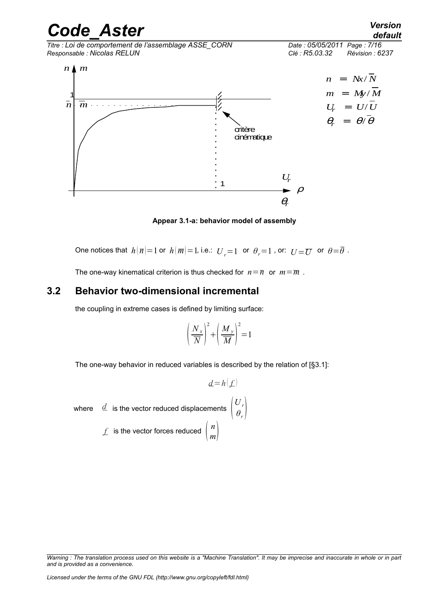*Code\_Aster Version Titre : Loi de comportement de l'assemblage ASSE\_CORN Date : 05/05/2011 Page : 7/16 Responsable : Nicolas RELUN Clé : R5.03.32 Révision : 6237*



**Appear 3.1-a: behavior model of assembly**

One notices that  $h(\overline{n})=1$  or  $h(\overline{m})=1$ , i.e.:  $U_{r}=1$  or  $\theta_{r}=1$ , or:  $U=\overline{U}$  or  $\theta=\overline{\theta}$ .

<span id="page-6-0"></span>The one-way kinematical criterion is thus checked for  $n=\overline{n}$  or  $m=\overline{m}$ .

#### **3.2 Behavior two-dimensional incremental**

the coupling in extreme cases is defined by limiting surface:

$$
\left(\frac{N_x}{\overline{N}}\right)^2 + \left(\frac{M_y}{\overline{M}}\right)^2 = 1
$$

The one-way behavior in reduced variables is described by the relation of [§3.1]:

 $d = h(f)$ 

*θ<sup>r</sup>*

where  $\begin{array}{cc} \frac{d}{dt} & \text{is the vector reduced displacements}\end{array}\begin{array}{c} \left(U_r\right)^t\ \theta_r \end{array}$ 

*f* is the vector forces reduced *n m*

*Warning : The translation process used on this website is a "Machine Translation". It may be imprecise and inaccurate in whole or in part and is provided as a convenience.*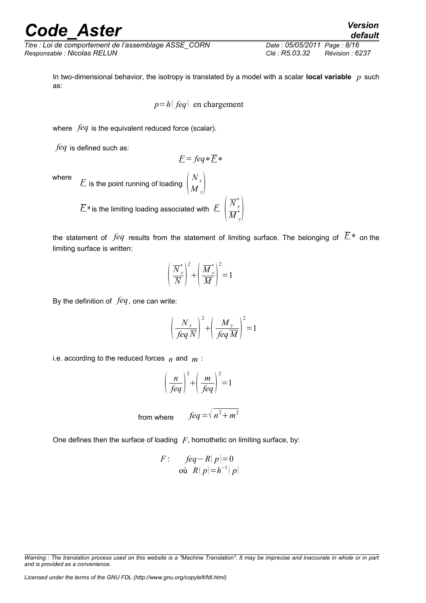*Titre : Loi de comportement de l'assemblage ASSE\_CORN Date : 05/05/2011 Page : 8/16 Responsable : Nicolas RELUN Clé : R5.03.32 Révision : 6237*

In two-dimensional behavior, the isotropy is translated by a model with a scalar **local variable** *p* such as:

$$
p=h
$$
 |  $feq$  | en chargement

where *feq* is the equivalent reduced force (scalar).

*feq* is defined such as:

$$
\underline{F} = \text{f}eq* \underline{F}*
$$

where  $\begin{array}{cc} F \end{array}$  is the point running of loading  $\begin{array}{cc} N_{x} \ M_{y} \end{array}$  $M_{y}$  $\overline{E}$ \* is the limiting loading associated with  $\overline{E}\,\left|\,\overline{N}_{x}^*\right|$  $\overline{M}^{\ast}_{y} \Big\vert$ 

the statement of *feq* results from the statement of limiting surface. The belonging of *F*∗ on the limiting surface is written:

$$
\left(\frac{\overline{N}_{x}^{*}}{\overline{N}}\right)^{2} + \left(\frac{\overline{M}_{y}^{*}}{\overline{M}}\right)^{2} = 1
$$

By the definition of *feq*, one can write:

$$
\left(\frac{N_x}{feq\ \overline{N}}\right)^2 + \left(\frac{M_y}{feq\ \overline{M}}\right)^2 = 1
$$

i.e. according to the reduced forces  $n$  and  $m$ :

$$
\left(\frac{n}{feq}\right)^2 + \left(\frac{m}{feq}\right)^2 = 1
$$

from where 
$$
feq = \sqrt{n^2 + m^2}
$$

One defines then the surface of loading  $F$ , homothetic on limiting surface, by:

$$
F: \quad \text{f}eq - R(p) = 0
$$
  
 
$$
\text{où } R(p) = h^{-1}(p)
$$

*Warning : The translation process used on this website is a "Machine Translation". It may be imprecise and inaccurate in whole or in part and is provided as a convenience.*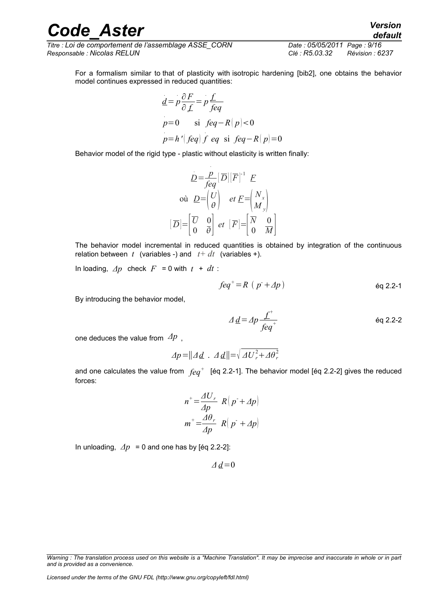*Titre : Loi de comportement de l'assemblage ASSE\_CORN Date : 05/05/2011 Page : 9/16 Responsable : Nicolas RELUN Clé : R5.03.32 Révision : 6237*

For a formalism similar to that of plasticity with isotropic hardening [bib2], one obtains the behavior model continues expressed in reduced quantities:

$$
\underline{d} = p \frac{\partial F}{\partial f} = p \frac{f}{feq}
$$
\n
$$
p = 0 \quad \text{si } feq - R(p) < 0
$$
\n
$$
p = h' \left( feq \right) f \text{ eq } \text{si } feq - R(p) = 0
$$

Behavior model of the rigid type - plastic without elasticity is written finally:

$$
\underline{D} = \frac{p}{feq} [\overline{D}] [\overline{F}]^{-1} \underline{F}
$$
  
 
$$
\text{où } \underline{D} = \begin{pmatrix} U \\ \theta \end{pmatrix} \quad et \underline{F} = \begin{pmatrix} N_x \\ M_y \end{pmatrix}
$$

$$
[\overline{D}] = \begin{bmatrix} \overline{U} & 0 \\ 0 & \overline{\theta} \end{bmatrix} et [\overline{F}] = \begin{bmatrix} \overline{N} & 0 \\ 0 & \overline{M} \end{bmatrix}
$$

The behavior model incremental in reduced quantities is obtained by integration of the continuous relation between  $t$  (variables -) and  $t + dt$  (variables +).

In loading,  $\Delta p$  check  $F = 0$  with  $t + dt$ :

$$
feq^+=R(p^++\Delta p)
$$

By introducing the behavior model,

$$
\Delta \underline{d} = \Delta p \frac{\underline{f}^+}{f e q^+}
$$

one deduces the value from *Δp* ,

$$
\Delta p = ||\Delta d \cdot \Delta d|| = \sqrt{\Delta U_r^2 + \Delta \theta_r^2}
$$

and one calculates the value from  $\,f\!\!eq\,q^+$  [éq 2.2-1]. The behavior model [éq 2.2-2] gives the reduced forces:

$$
n^{+} = \frac{\Delta U_r}{\Delta p} R(p^{+} + \Delta p)
$$

$$
m^{+} = \frac{\Delta \theta_r}{\Delta p} R(p^{+} + \Delta p)
$$

In unloading,  $\Delta p = 0$  and one has by [éq 2.2-2]:

 $\Delta d$ =0

*Warning : The translation process used on this website is a "Machine Translation". It may be imprecise and inaccurate in whole or in part and is provided as a convenience.*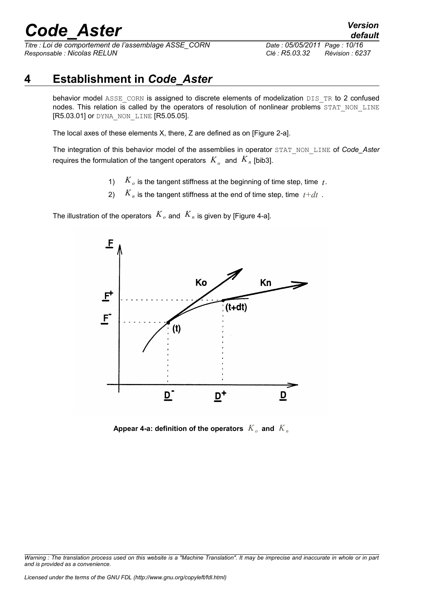*Titre : Loi de comportement de l'assemblage ASSE\_CORN Date : 05/05/2011 Page : 10/16 Responsable : Nicolas RELUN Clé : R5.03.32 Révision : 6237*

*default*

### **4 Establishment in** *Code\_Aster*

<span id="page-9-0"></span>behavior model ASSE\_CORN is assigned to discrete elements of modelization DIS\_TR to 2 confused nodes. This relation is called by the operators of resolution of nonlinear problems STAT\_NON\_LINE [R5.03.01] or DYNA\_NON\_LINE [R5.05.05].

The local axes of these elements X, there, Z are defined as on [Figure 2-a].

The integration of this behavior model of the assemblies in operator STAT\_NON\_LINE of *Code\_Aster* requires the formulation of the tangent operators  $|K_{\rho}|$  and  $|K_n|$  [bib3].

- 1) *Ko* is the tangent stiffness at the beginning of time step, time *t*.
- 2)  $K_n$  is the tangent stiffness at the end of time step, time  $t+dt$ .

The illustration of the operators  $K_{\rho}$  and  $K_{n}$  is given by [Figure 4-a].



Appear 4-a: definition of the operators  $\overline{K}_o$  and  $\overline{K}_n$ 

*Warning : The translation process used on this website is a "Machine Translation". It may be imprecise and inaccurate in whole or in part and is provided as a convenience.*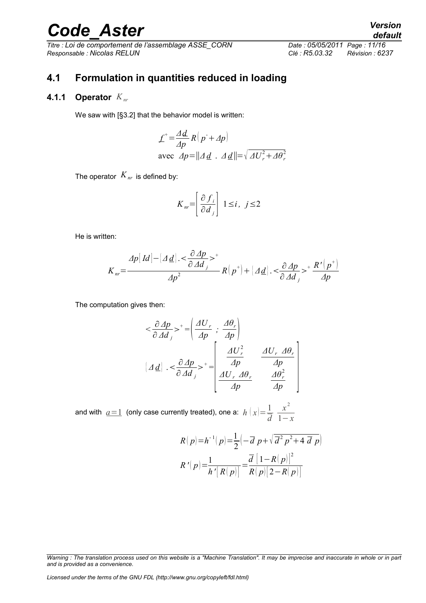*Titre : Loi de comportement de l'assemblage ASSE\_CORN Date : 05/05/2011 Page : 11/16 Responsable : Nicolas RELUN Clé : R5.03.32 Révision : 6237*

### <span id="page-10-1"></span>**4.1 Formulation in quantities reduced in loading**

#### **4.1.1 Operator** *Knr*

<span id="page-10-0"></span>We saw with [§3.2] that the behavior model is written:

$$
\mathcal{L}^+ = \frac{\Delta d}{\Delta p} R(p^+ + \Delta p)
$$
  
avec  $\Delta p = ||\Delta d \cdot \Delta d|| = \sqrt{\Delta U_r^2 + \Delta \theta_r^2}$ 

The operator  $K_{nr}$  is defined by:

$$
K_{nr} = \left[\frac{\partial f_i}{\partial d_j}\right] 1 \le i, \ j \le 2
$$

He is written:

$$
K_{nr} = \frac{\Delta p[Id] - |\Delta d| \cdot \langle \frac{\partial \Delta p}{\partial \Delta d} \rangle^+}{\Delta p^2} R(p^+) + |\Delta d| \cdot \langle \frac{\partial \Delta p}{\partial \Delta d} \rangle^+ \frac{R' (p^+)}{\Delta p}
$$

The computation gives then:

$$
\langle \frac{\partial \Delta p}{\partial \Delta d_j} \rangle^+ = \left( \frac{\Delta U_r}{\Delta p} \right; \frac{\Delta \theta_r}{\Delta p} \right)
$$

$$
[\Delta d] \cdot \langle \frac{\partial \Delta p}{\partial \Delta d_j} \rangle^+ = \left[ \frac{\Delta U_r^2}{\Delta p} \frac{\Delta U_r \Delta \theta_r}{\Delta p} \right]
$$

and with  $a=1$  (only case currently treated), one a:  $h(x)=\frac{1}{2}$ *d x* 2 1−*x*

$$
R(p) = h^{-1}(p) = \frac{1}{2} \left(-\overline{d} p + \sqrt{\overline{d}^2 p^2 + 4 \overline{d} p}\right)
$$

$$
R'(p) = \frac{1}{h'[R(p)]} = \frac{\overline{d} [1 - R(p)]^2}{R(p)[2 - R(p)]}
$$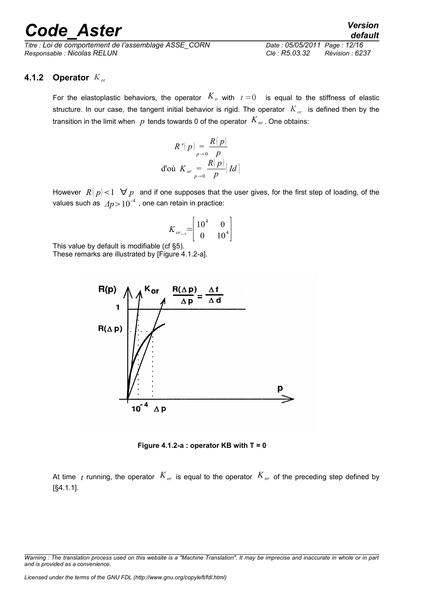*Titre : Loi de comportement de l'assemblage ASSE\_CORN Date : 05/05/2011 Page : 12/16 Responsable : Nicolas RELUN Clé : R5.03.32 Révision : 6237*

*default*

#### **4.1.2 Operator**  $K_{\text{or}}$

<span id="page-11-0"></span>For the elastoplastic behaviors, the operator  $K_o$  with  $t=0$  is equal to the stiffness of elastic structure. In our case, the tangent initial behavior is rigid. The operator *Kor* is defined then by the transition in the limit when  $p$  tends towards 0 of the operator  $K_{nr}$ . One obtains:

$$
R' (p) = \frac{R(p)}{p}
$$
  
d'où  $K_{or} = \frac{R(p)}{p} [Id]$ 

However  $R[p] < 1 \ \forall p$  and if one supposes that the user gives, for the first step of loading, of the values such as  $\varDelta p\!>\!10^{\text{-}4}$  , one can retain in practice:

$$
K_{or_{t=0}} = \begin{bmatrix} 10^4 & 0 \\ 0 & 10^4 \end{bmatrix}
$$

This value by default is modifiable (cf §5).

These remarks are illustrated by [Figure 4.1.2-a].



**Figure 4.1.2-a : operator KB with T = 0**

At time *t* running, the operator  $K_{or}$  is equal to the operator  $K_{nr}$  of the preceding step defined by [§4.1.1].

*Warning : The translation process used on this website is a "Machine Translation". It may be imprecise and inaccurate in whole or in part and is provided as a convenience.*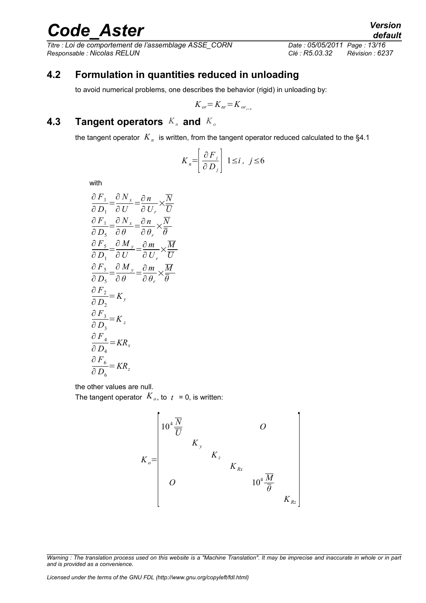*Titre : Loi de comportement de l'assemblage ASSE\_CORN Date : 05/05/2011 Page : 13/16 Responsable : Nicolas RELUN Clé : R5.03.32 Révision : 6237*

#### **4.2 Formulation in quantities reduced in unloading**

<span id="page-12-1"></span>to avoid numerical problems, one describes the behavior (rigid) in unloading by:

$$
K_{or} = K_{nr} = K_{or_{r=0}}
$$

#### **4.3 Tangent operators**  $K_n$  and  $K_o$

<span id="page-12-0"></span>the tangent operator  $\left\vert K_{_{n}}\right\rangle$  is written, from the tangent operator reduced calculated to the §4.1

$$
K_n = \left[\frac{\partial F_i}{\partial D_j}\right] \ 1 \le i \,, \ j \le 6
$$

with

$$
\frac{\partial F_1}{\partial D_1} = \frac{\partial N_x}{\partial U} = \frac{\partial n}{\partial U_r} \times \frac{\overline{N}}{\overline{U}}
$$
\n
$$
\frac{\partial F_1}{\partial D_5} = \frac{\partial N_x}{\partial \theta} = \frac{\partial n}{\partial \theta_r} \times \frac{\overline{N}}{\overline{\theta}}
$$
\n
$$
\frac{\partial F_5}{\partial D_1} = \frac{\partial M_y}{\partial U} = \frac{\partial m}{\partial U_r} \times \frac{\overline{M}}{\overline{U}}
$$
\n
$$
\frac{\partial F_5}{\partial D_5} = \frac{\partial M_y}{\partial \theta} = \frac{\partial m}{\partial \theta_r} \times \frac{\overline{M}}{\overline{\theta}}
$$
\n
$$
\frac{\partial F_2}{\partial D_5} = K_y
$$
\n
$$
\frac{\partial F_3}{\partial D_3} = K_z
$$
\n
$$
\frac{\partial F_4}{\partial D_4} = KR_x
$$
\n
$$
\frac{\partial F_6}{\partial D_6} = KR_z
$$

the other values are null.

The tangent operator  $K_o$ , to  $t = 0$ , is written:

$$
K_o = \begin{bmatrix} 10^4 \frac{\overline{N}}{\overline{U}} & & & & O \\ & K_y & & & & \\ & & K_z & & & \\ & & & K_{Rx} & & \\ & & & & 10^4 \frac{\overline{M}}{\overline{\theta}} \\ & & & & & K_{Rz} \end{bmatrix}
$$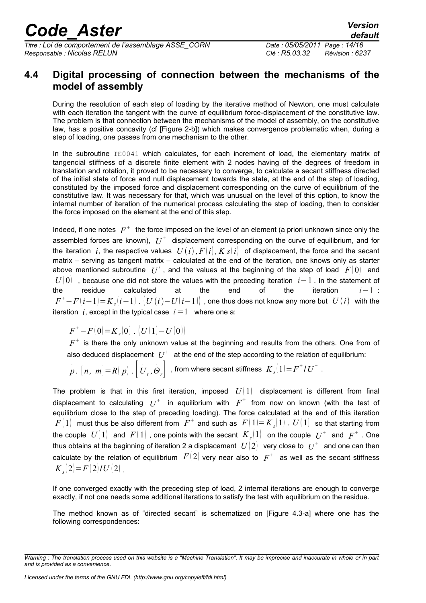*Titre : Loi de comportement de l'assemblage ASSE\_CORN Date : 05/05/2011 Page : 14/16 Responsable : Nicolas RELUN Clé : R5.03.32 Révision : 6237*

#### <span id="page-13-0"></span>**4.4 Digital processing of connection between the mechanisms of the model of assembly**

During the resolution of each step of loading by the iterative method of Newton, one must calculate with each iteration the tangent with the curve of equilibrium force-displacement of the constitutive law. The problem is that connection between the mechanisms of the model of assembly, on the constitutive law, has a positive concavity (cf [Figure 2-b]) which makes convergence problematic when, during a step of loading, one passes from one mechanism to the other.

In the subroutine  $TE0041$  which calculates, for each increment of load, the elementary matrix of tangencial stiffness of a discrete finite element with 2 nodes having of the degrees of freedom in translation and rotation, it proved to be necessary to converge, to calculate a secant stiffness directed of the initial state of force and null displacement towards the state, at the end of the step of loading, constituted by the imposed force and displacement corresponding on the curve of equilibrium of the constitutive law. It was necessary for that, which was unusual on the level of this option, to know the internal number of iteration of the numerical process calculating the step of loading, then to consider the force imposed on the element at the end of this step.

Indeed, if one notes  $|F^+|\$ the force imposed on the level of an element (a priori unknown since only the assembled forces are known),  $|U^+|$  displacement corresponding on the curve of equilibrium, and for the iteration *i*, the respective values  $U(i)$ ,  $F[i]$ ,  $K s[i]$  of displacement, the force and the secant matrix – serving as tangent matrix – calculated at the end of the iteration, one knows only as starter above mentioned subroutine  $|U^i|$ , and the values at the beginning of the step of load  $|F(0)|$  and *U* | 0 0 , because one did not store the values with the preceding iteration *i*−1. In the statement of the residue calculated at the end of the iteration *i*−1 :  $F^{+}\!-\!F\!\left(i\!-\!1\right)\!=\!K_{s}\!\left(i\!-\!1\right)$  .  $\left(U\left(i\right)\!-\!U\!\left(i\!-\!1\right)\right)$  , one thus does not know any more but  $\;U\!\left(i\right)\;$  with the iteration *i*, except in the typical case  $i=1$  where one a:

 $F^+ - F(0) = K_s(0)$ .  $(U(1) - U(0))$ 

 $F^{\pm}$  is there the only unknown value at the beginning and results from the others. One from of also deduced displacement  $\ U^{+}\ \;$  at the end of the step according to the relation of equilibrium:

$$
p
$$
.  $[n, m] = R(p) \cdot [U_r, \Theta_r]$ , from where secant stiffness  $K_s(1) = F^+ / U^+$ .

The problem is that in this first iteration, imposed  $U(1)$  displacement is different from final displacement to calculating  $U^+$  in equilibrium with  $F^+$  from now on known (with the test of equilibrium close to the step of preceding loading). The force calculated at the end of this iteration  $F(\,1)\;$  must thus be also different from  $\;F^+\;$  and such as  $\;F(\,1)\!=\!K_s(\,1)\;$  .  $\;U(\,1)\;$  so that starting from the couple  $|U(\,1)\>$  and  $|F(\,1)\>$  , one points with the secant  $|K_s(1)\>$  on the couple  $|U^+\>$  and  $|F^+\>$  . One thus obtains at the beginning of iteration 2 a displacement  $\; U[2] \;$  very close to  $\; U^+ \;$  and one can then calculate by the relation of equilibrium  $|F(2)|$  very near also to  $|F|^+$  as well as the secant stiffness  $K_s(2)=F(2)/U(2)$  .

If one converged exactly with the preceding step of load, 2 internal iterations are enough to converge exactly, if not one needs some additional iterations to satisfy the test with equilibrium on the residue.

The method known as of "directed secant" is schematized on [Figure 4.3-a] where one has the following correspondences:

*Warning : The translation process used on this website is a "Machine Translation". It may be imprecise and inaccurate in whole or in part and is provided as a convenience.*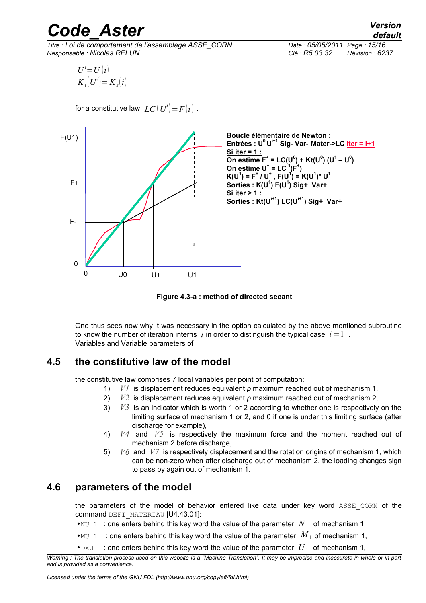*Titre : Loi de comportement de l'assemblage ASSE\_CORN Date : 05/05/2011 Page : 15/16 Responsable : Nicolas RELUN Clé : R5.03.32 Révision : 6237*

$$
U^i=U(i)
$$
  

$$
K_t[U^i]=K_s(i)
$$

for a constitutive law  $\, LC\bigl(U^i\bigl) \!=\! F\bigl(i\bigr)$  .



**Figure 4.3-a : method of directed secant**

One thus sees now why it was necessary in the option calculated by the above mentioned subroutine to know the number of iteration interns *i* in order to distinguish the typical case  $i=1$ . Variables and Variable parameters of

#### **4.5 the constitutive law of the model**

<span id="page-14-1"></span>the constitutive law comprises 7 local variables per point of computation:

- 1) *V1* is displacement reduces equivalent *p* maximum reached out of mechanism 1,
- 2) *V2* is displacement reduces equivalent *p* maximum reached out of mechanism 2,
- 3) *V3* is an indicator which is worth 1 or 2 according to whether one is respectively on the limiting surface of mechanism 1 or 2, and 0 if one is under this limiting surface (after discharge for example),
- 4) *V4* and *V5* is respectively the maximum force and the moment reached out of mechanism 2 before discharge,
- 5) *V6* and *V7* is respectively displacement and the rotation origins of mechanism 1, which can be non-zero when after discharge out of mechanism 2, the loading changes sign to pass by again out of mechanism 1.

#### **4.6 parameters of the model**

<span id="page-14-0"></span>the parameters of the model of behavior entered like data under key word ASSE CORN of the command DEFI\_MATERIAU [U4.43.01]:

- • $NU_1$ : one enters behind this key word the value of the parameter  $N_1$  of mechanism 1,
- • $MU_1$  : one enters behind this key word the value of the parameter  $\overline{M}_1$  of mechanism 1,
- $\bullet$  DXU<sub>\_</sub>1 : one enters behind this key word the value of the parameter  $\overline{U}_1$  of mechanism 1,

*Warning : The translation process used on this website is a "Machine Translation". It may be imprecise and inaccurate in whole or in part and is provided as a convenience.*